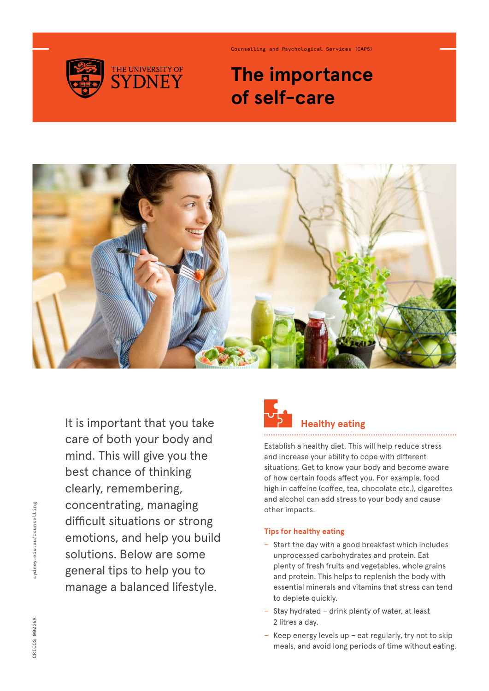

Counselling and Psychological Services (CAPS)

### **The importance of self-care**



It is important that you take care of both your body and mind. This will give you the best chance of thinking clearly, remembering, concentrating, managing difficult situations or strong emotions, and help you build solutions. Below are some general tips to help you to manage a balanced lifestyle.

## **Healthy eating**

Establish a healthy diet. This will help reduce stress and increase your ability to cope with different situations. Get to know your body and become aware of how certain foods affect you. For example, food high in caffeine (coffee, tea, chocolate etc.), cigarettes and alcohol can add stress to your body and cause other impacts.

#### **Tips for healthy eating**

- − Start the day with a good breakfast which includes unprocessed carbohydrates and protein. Eat plenty of fresh fruits and vegetables, whole grains and protein. This helps to replenish the body with essential minerals and vitamins that stress can tend to deplete quickly.
- − Stay hydrated drink plenty of water, at least 2 litres a day.
- − Keep energy levels up eat regularly, try not to skip meals, and avoid long periods of time without eating.